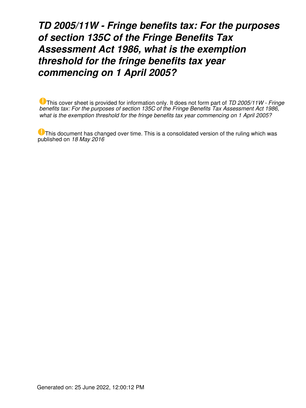*TD 2005/11W - Fringe benefits tax: For the purposes of section 135C of the Fringe Benefits Tax Assessment Act 1986, what is the exemption threshold for the fringe benefits tax year commencing on 1 April 2005?*

This cover sheet is provided for information only. It does not form part of *TD 2005/11W - Fringe benefits tax: For the purposes of section 135C of the Fringe Benefits Tax Assessment Act 1986, what is the exemption threshold for the fringe benefits tax year commencing on 1 April 2005?*

This document has changed over time. This is a consolidated version of the ruling which was published on *18 May 2016*